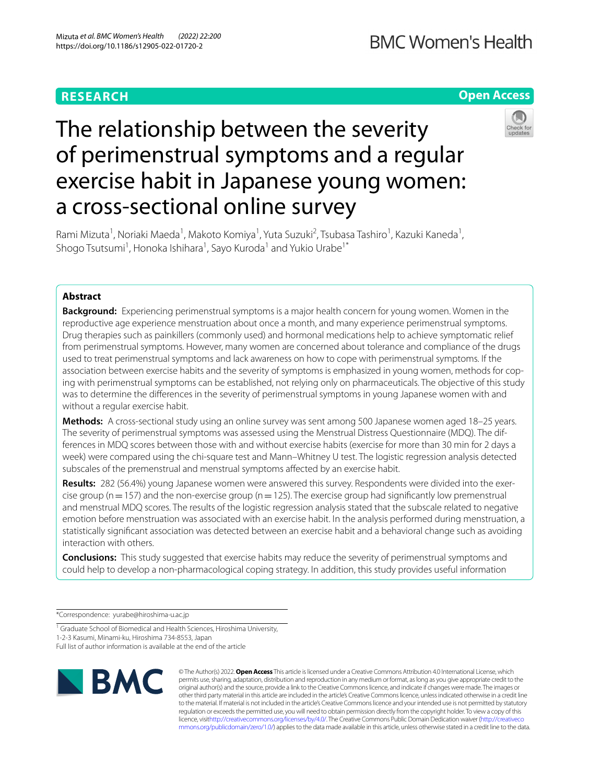# **RESEARCH**

# **Open Access**



# The relationship between the severity of perimenstrual symptoms and a regular exercise habit in Japanese young women: a cross-sectional online survey

Rami Mizuta<sup>1</sup>, Noriaki Maeda<sup>1</sup>, Makoto Komiya<sup>1</sup>, Yuta Suzuki<sup>2</sup>, Tsubasa Tashiro<sup>1</sup>, Kazuki Kaneda<sup>1</sup>, Shogo Tsutsumi<sup>1</sup>, Honoka Ishihara<sup>1</sup>, Sayo Kuroda<sup>1</sup> and Yukio Urabe<sup>1\*</sup>

# **Abstract**

**Background:** Experiencing perimenstrual symptoms is a major health concern for young women. Women in the reproductive age experience menstruation about once a month, and many experience perimenstrual symptoms. Drug therapies such as painkillers (commonly used) and hormonal medications help to achieve symptomatic relief from perimenstrual symptoms. However, many women are concerned about tolerance and compliance of the drugs used to treat perimenstrual symptoms and lack awareness on how to cope with perimenstrual symptoms. If the association between exercise habits and the severity of symptoms is emphasized in young women, methods for coping with perimenstrual symptoms can be established, not relying only on pharmaceuticals. The objective of this study was to determine the diferences in the severity of perimenstrual symptoms in young Japanese women with and without a regular exercise habit.

**Methods:** A cross-sectional study using an online survey was sent among 500 Japanese women aged 18–25 years. The severity of perimenstrual symptoms was assessed using the Menstrual Distress Questionnaire (MDQ). The differences in MDQ scores between those with and without exercise habits (exercise for more than 30 min for 2 days a week) were compared using the chi-square test and Mann–Whitney U test. The logistic regression analysis detected subscales of the premenstrual and menstrual symptoms afected by an exercise habit.

**Results:** 282 (56.4%) young Japanese women were answered this survey. Respondents were divided into the exercise group ( $n=157$ ) and the non-exercise group ( $n=125$ ). The exercise group had significantly low premenstrual and menstrual MDQ scores. The results of the logistic regression analysis stated that the subscale related to negative emotion before menstruation was associated with an exercise habit. In the analysis performed during menstruation, a statistically signifcant association was detected between an exercise habit and a behavioral change such as avoiding interaction with others.

**Conclusions:** This study suggested that exercise habits may reduce the severity of perimenstrual symptoms and could help to develop a non-pharmacological coping strategy. In addition, this study provides useful information

\*Correspondence: yurabe@hiroshima-u.ac.jp

1-2-3 Kasumi, Minami-ku, Hiroshima 734-8553, Japan

Full list of author information is available at the end of the article



© The Author(s) 2022. **Open Access** This article is licensed under a Creative Commons Attribution 4.0 International License, which permits use, sharing, adaptation, distribution and reproduction in any medium or format, as long as you give appropriate credit to the original author(s) and the source, provide a link to the Creative Commons licence, and indicate if changes were made. The images or other third party material in this article are included in the article's Creative Commons licence, unless indicated otherwise in a credit line to the material. If material is not included in the article's Creative Commons licence and your intended use is not permitted by statutory regulation or exceeds the permitted use, you will need to obtain permission directly from the copyright holder. To view a copy of this licence, visi[thttp://creativecommons.org/licenses/by/4.0/](http://creativecommons.org/licenses/by/4.0/). The Creative Commons Public Domain Dedication waiver [\(http://creativeco](http://creativecommons.org/publicdomain/zero/1.0/) [mmons.org/publicdomain/zero/1.0/](http://creativecommons.org/publicdomain/zero/1.0/)) applies to the data made available in this article, unless otherwise stated in a credit line to the data.

<sup>&</sup>lt;sup>1</sup> Graduate School of Biomedical and Health Sciences, Hiroshima University,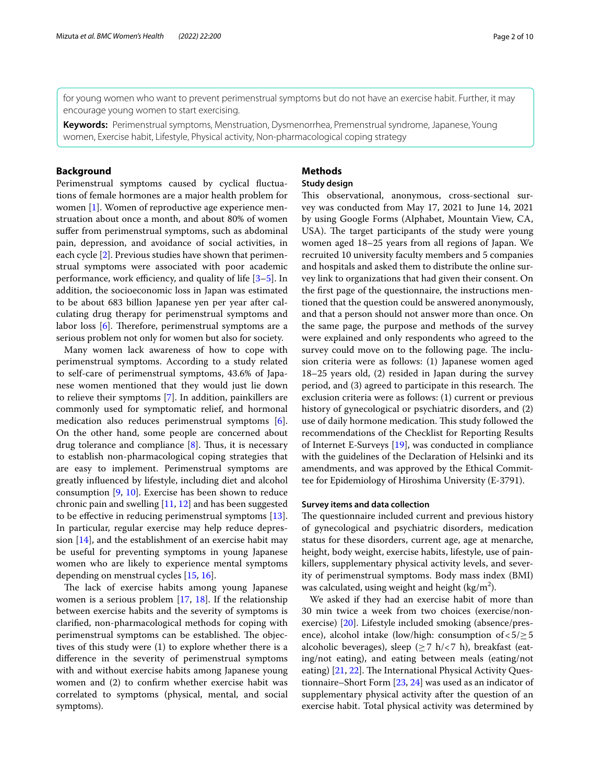for young women who want to prevent perimenstrual symptoms but do not have an exercise habit. Further, it may encourage young women to start exercising.

**Keywords:** Perimenstrual symptoms, Menstruation, Dysmenorrhea, Premenstrual syndrome, Japanese, Young women, Exercise habit, Lifestyle, Physical activity, Non-pharmacological coping strategy

## **Background**

Perimenstrual symptoms caused by cyclical fuctuations of female hormones are a major health problem for women [[1\]](#page-8-0). Women of reproductive age experience menstruation about once a month, and about 80% of women sufer from perimenstrual symptoms, such as abdominal pain, depression, and avoidance of social activities, in each cycle [[2](#page-8-1)]. Previous studies have shown that perimenstrual symptoms were associated with poor academic performance, work efficiency, and quality of life  $[3-5]$  $[3-5]$ . In addition, the socioeconomic loss in Japan was estimated to be about 683 billion Japanese yen per year after calculating drug therapy for perimenstrual symptoms and labor loss  $[6]$  $[6]$  $[6]$ . Therefore, perimenstrual symptoms are a serious problem not only for women but also for society.

Many women lack awareness of how to cope with perimenstrual symptoms. According to a study related to self-care of perimenstrual symptoms, 43.6% of Japanese women mentioned that they would just lie down to relieve their symptoms [\[7](#page-8-5)]. In addition, painkillers are commonly used for symptomatic relief, and hormonal medication also reduces perimenstrual symptoms [\[6](#page-8-4)]. On the other hand, some people are concerned about drug tolerance and compliance  $[8]$  $[8]$ . Thus, it is necessary to establish non-pharmacological coping strategies that are easy to implement. Perimenstrual symptoms are greatly infuenced by lifestyle, including diet and alcohol consumption [[9,](#page-8-7) [10\]](#page-8-8). Exercise has been shown to reduce chronic pain and swelling  $[11, 12]$  $[11, 12]$  $[11, 12]$  and has been suggested to be efective in reducing perimenstrual symptoms [\[13](#page-8-11)]. In particular, regular exercise may help reduce depression  $[14]$  $[14]$ , and the establishment of an exercise habit may be useful for preventing symptoms in young Japanese women who are likely to experience mental symptoms depending on menstrual cycles [[15,](#page-8-13) [16\]](#page-8-14).

The lack of exercise habits among young Japanese women is a serious problem [[17,](#page-8-15) [18](#page-8-16)]. If the relationship between exercise habits and the severity of symptoms is clarifed, non-pharmacological methods for coping with perimenstrual symptoms can be established. The objectives of this study were (1) to explore whether there is a diference in the severity of perimenstrual symptoms with and without exercise habits among Japanese young women and (2) to confrm whether exercise habit was correlated to symptoms (physical, mental, and social symptoms).

# **Methods**

# **Study design**

This observational, anonymous, cross-sectional survey was conducted from May 17, 2021 to June 14, 2021 by using Google Forms (Alphabet, Mountain View, CA, USA). The target participants of the study were young women aged 18–25 years from all regions of Japan. We recruited 10 university faculty members and 5 companies and hospitals and asked them to distribute the online survey link to organizations that had given their consent. On the frst page of the questionnaire, the instructions mentioned that the question could be answered anonymously, and that a person should not answer more than once. On the same page, the purpose and methods of the survey were explained and only respondents who agreed to the survey could move on to the following page. The inclusion criteria were as follows: (1) Japanese women aged 18–25 years old, (2) resided in Japan during the survey period, and (3) agreed to participate in this research. The exclusion criteria were as follows: (1) current or previous history of gynecological or psychiatric disorders, and (2) use of daily hormone medication. This study followed the recommendations of the Checklist for Reporting Results of Internet E-Surveys [[19](#page-8-17)], was conducted in compliance with the guidelines of the Declaration of Helsinki and its amendments, and was approved by the Ethical Committee for Epidemiology of Hiroshima University (E-3791).

#### **Survey items and data collection**

The questionnaire included current and previous history of gynecological and psychiatric disorders, medication status for these disorders, current age, age at menarche, height, body weight, exercise habits, lifestyle, use of painkillers, supplementary physical activity levels, and severity of perimenstrual symptoms. Body mass index (BMI) was calculated, using weight and height (kg/m<sup>2</sup>).

We asked if they had an exercise habit of more than 30 min twice a week from two choices (exercise/nonexercise) [[20\]](#page-8-18). Lifestyle included smoking (absence/presence), alcohol intake (low/high: consumption of  $< 5/\geq 5$ alcoholic beverages), sleep ( $\geq$ 7 h/<7 h), breakfast (eating/not eating), and eating between meals (eating/not eating) [\[21](#page-8-19), [22](#page-8-20)]. The International Physical Activity Questionnaire–Short Form [[23,](#page-8-21) [24](#page-8-22)] was used as an indicator of supplementary physical activity after the question of an exercise habit. Total physical activity was determined by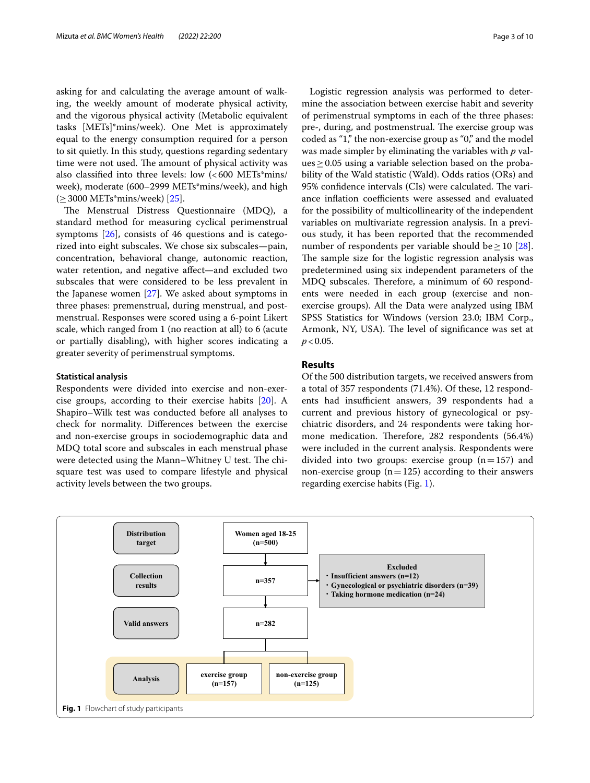asking for and calculating the average amount of walking, the weekly amount of moderate physical activity, and the vigorous physical activity (Metabolic equivalent tasks [METs]\*mins/week). One Met is approximately equal to the energy consumption required for a person to sit quietly. In this study, questions regarding sedentary time were not used. The amount of physical activity was also classified into three levels: low  $\langle$  <600 METs\*mins/ week), moderate (600–2999 METs\*mins/week), and high  $(≥3000 \text{ METs*mins/week})$  [\[25](#page-8-23)].

The Menstrual Distress Questionnaire (MDQ), a standard method for measuring cyclical perimenstrual symptoms  $[26]$ , consists of 46 questions and is categorized into eight subscales. We chose six subscales—pain, concentration, behavioral change, autonomic reaction, water retention, and negative afect—and excluded two subscales that were considered to be less prevalent in the Japanese women [\[27](#page-8-25)]. We asked about symptoms in three phases: premenstrual, during menstrual, and postmenstrual. Responses were scored using a 6-point Likert scale, which ranged from 1 (no reaction at all) to 6 (acute or partially disabling), with higher scores indicating a greater severity of perimenstrual symptoms.

#### **Statistical analysis**

Respondents were divided into exercise and non-exercise groups, according to their exercise habits [[20\]](#page-8-18). A Shapiro–Wilk test was conducted before all analyses to check for normality. Diferences between the exercise and non-exercise groups in sociodemographic data and MDQ total score and subscales in each menstrual phase were detected using the Mann–Whitney U test. The chisquare test was used to compare lifestyle and physical activity levels between the two groups.

Logistic regression analysis was performed to determine the association between exercise habit and severity of perimenstrual symptoms in each of the three phases: pre-, during, and postmenstrual. The exercise group was coded as "1," the non-exercise group as "0," and the model was made simpler by eliminating the variables with *p* val $ues \geq 0.05$  using a variable selection based on the probability of the Wald statistic (Wald). Odds ratios (ORs) and 95% confidence intervals (CIs) were calculated. The variance inflation coefficients were assessed and evaluated for the possibility of multicollinearity of the independent variables on multivariate regression analysis. In a previous study, it has been reported that the recommended number of respondents per variable should be  $\geq 10$  [\[28](#page-8-26)]. The sample size for the logistic regression analysis was predetermined using six independent parameters of the MDQ subscales. Therefore, a minimum of 60 respondents were needed in each group (exercise and nonexercise groups). All the Data were analyzed using IBM SPSS Statistics for Windows (version 23.0; IBM Corp., Armonk, NY, USA). The level of significance was set at  $p < 0.05$ .

#### **Results**

Of the 500 distribution targets, we received answers from a total of 357 respondents (71.4%). Of these, 12 respondents had insufficient answers, 39 respondents had a current and previous history of gynecological or psychiatric disorders, and 24 respondents were taking hormone medication. Therefore, 282 respondents (56.4%) were included in the current analysis. Respondents were divided into two groups: exercise group  $(n=157)$  and non-exercise group ( $n=125$ ) according to their answers regarding exercise habits (Fig. [1](#page-2-0)).

<span id="page-2-0"></span>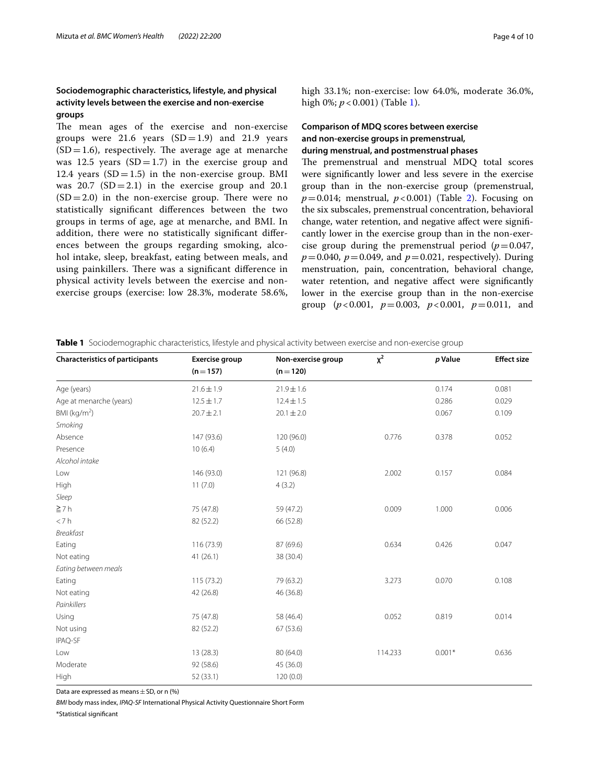# **Sociodemographic characteristics, lifestyle, and physical activity levels between the exercise and non‑exercise groups**

The mean ages of the exercise and non-exercise groups were 21.6 vears  $(SD=1.9)$  and 21.9 vears  $(SD=1.6)$ , respectively. The average age at menarche was 12.5 years  $(SD=1.7)$  in the exercise group and 12.4 years  $(SD=1.5)$  in the non-exercise group. BMI was  $20.7$  (SD = 2.1) in the exercise group and 20.1  $(SD=2.0)$  in the non-exercise group. There were no statistically signifcant diferences between the two groups in terms of age, age at menarche, and BMI. In addition, there were no statistically signifcant diferences between the groups regarding smoking, alcohol intake, sleep, breakfast, eating between meals, and using painkillers. There was a significant difference in physical activity levels between the exercise and nonexercise groups (exercise: low 28.3%, moderate 58.6%, high 33.1%; non-exercise: low 64.0%, moderate 36.0%, high 0%; *p* < 0.001) (Table [1\)](#page-3-0).

# **Comparison of MDQ scores between exercise and non‑exercise groups in premenstrual, during menstrual, and postmenstrual phases**

The premenstrual and menstrual MDQ total scores were signifcantly lower and less severe in the exercise group than in the non-exercise group (premenstrual,  $p=0.014$ ; menstrual,  $p<0.001$ ) (Table [2](#page-4-0)). Focusing on the six subscales, premenstrual concentration, behavioral change, water retention, and negative afect were signifcantly lower in the exercise group than in the non-exercise group during the premenstrual period  $(p=0.047,$  $p = 0.040$ ,  $p = 0.049$ , and  $p = 0.021$ , respectively). During menstruation, pain, concentration, behavioral change, water retention, and negative affect were significantly lower in the exercise group than in the non-exercise group ( $p < 0.001$ ,  $p = 0.003$ ,  $p < 0.001$ ,  $p = 0.011$ , and

| <b>Characteristics of participants</b> | Exercise group | Non-exercise group | $x^2$   | p Value  | <b>Effect size</b> |
|----------------------------------------|----------------|--------------------|---------|----------|--------------------|
|                                        | $(n=157)$      | $(n = 120)$        |         |          |                    |
| Age (years)                            | $21.6 \pm 1.9$ | $21.9 \pm 1.6$     |         | 0.174    | 0.081              |
| Age at menarche (years)                | $12.5 \pm 1.7$ | $12.4 \pm 1.5$     |         | 0.286    | 0.029              |
| BMI ( $kg/m2$ )                        | $20.7 \pm 2.1$ | $20.1 \pm 2.0$     |         | 0.067    | 0.109              |
| Smoking                                |                |                    |         |          |                    |
| Absence                                | 147 (93.6)     | 120 (96.0)         | 0.776   | 0.378    | 0.052              |
| Presence                               | 10(6.4)        | 5(4.0)             |         |          |                    |
| Alcohol intake                         |                |                    |         |          |                    |
| Low                                    | 146 (93.0)     | 121 (96.8)         | 2.002   | 0.157    | 0.084              |
| High                                   | 11(7.0)        | 4(3.2)             |         |          |                    |
| Sleep                                  |                |                    |         |          |                    |
| $\geq 7 h$                             | 75 (47.8)      | 59 (47.2)          | 0.009   | 1.000    | 0.006              |
| < 7 h                                  | 82 (52.2)      | 66 (52.8)          |         |          |                    |
| <b>Breakfast</b>                       |                |                    |         |          |                    |
| Eating                                 | 116 (73.9)     | 87 (69.6)          | 0.634   | 0.426    | 0.047              |
| Not eating                             | 41(26.1)       | 38 (30.4)          |         |          |                    |
| Eating between meals                   |                |                    |         |          |                    |
| Eating                                 | 115(73.2)      | 79 (63.2)          | 3.273   | 0.070    | 0.108              |
| Not eating                             | 42 (26.8)      | 46 (36.8)          |         |          |                    |
| Painkillers                            |                |                    |         |          |                    |
| Using                                  | 75 (47.8)      | 58 (46.4)          | 0.052   | 0.819    | 0.014              |
| Not using                              | 82 (52.2)      | 67 (53.6)          |         |          |                    |
| IPAQ-SF                                |                |                    |         |          |                    |
| Low                                    | 13(28.3)       | 80 (64.0)          | 114.233 | $0.001*$ | 0.636              |
| Moderate                               | 92 (58.6)      | 45 (36.0)          |         |          |                    |
| High                                   | 52(33.1)       | 120(0.0)           |         |          |                    |

<span id="page-3-0"></span>**Table 1** Sociodemographic characteristics, lifestyle and physical activity between exercise and non-exercise group

Data are expressed as means  $\pm$  SD, or n (%)

*BMI* body mass index, *IPAQ-SF* International Physical Activity Questionnaire Short Form

\*Statistical signifcant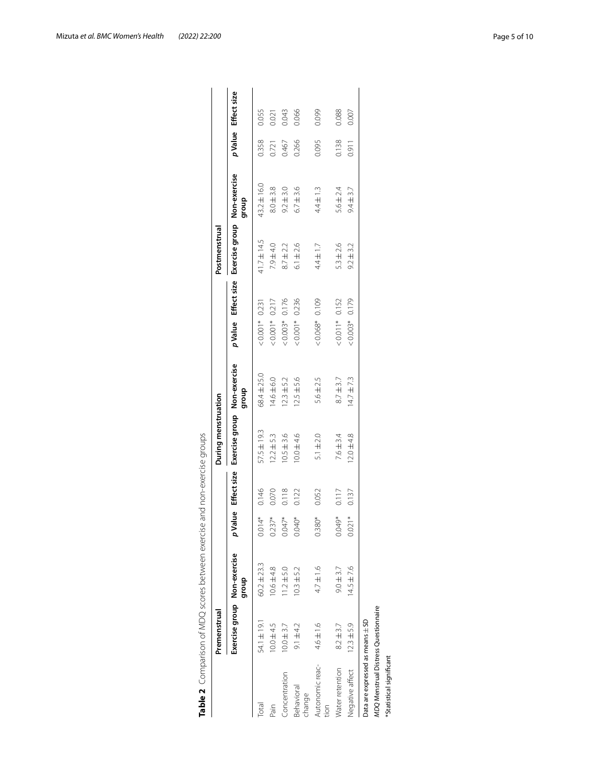|                                  | Premenstrual                         |                 |          |       | During menstruation                           |                |                                                 | Postmenstrual |               |       |                    |
|----------------------------------|--------------------------------------|-----------------|----------|-------|-----------------------------------------------|----------------|-------------------------------------------------|---------------|---------------|-------|--------------------|
|                                  | Exercise group Non-exercise          | dhoub           |          |       | Value Effect size Exercise group Non-exercise | group          | p Value Effect size Exercise group Non-exercise |               | group         |       | pValue Effect size |
| <b>Total</b>                     | 54.1±19.1                            | $60.2 \pm 23.3$ | $0.014*$ | 0.146 | 57.5±19.3                                     | 68.4±25.0      | $< 0.001 * 0.231$                               | 41.7±14.5     | 43.2±16.0     | 0.358 | 0.055              |
| $\sin$                           | $10.0 \pm 4.5$                       | $10.6 \pm 4.8$  | $0.237*$ | 0.070 | $12.2 \pm 5.3$                                | 4.6土6.0        | $< 0.001* 0.217$                                | $7.9 + 4.0$   | $8.0 + 3.8$   | 0.721 | 0.021              |
| Concentration                    | $10.0 + 3.7$                         | $11.2 \pm 5.0$  | $0.047*$ | 0.118 | $10.5 + 3.6$                                  | $12.3 \pm 5.2$ | $< 0.003*$ 0.176                                | $8.7 \pm 2.2$ | $9.2 \pm 3.0$ | 0.467 | 0.043              |
| Behavioral<br>change             | $9.1 \pm 4.2$                        | $10.3 + 5.2$    | 1.040*   | 0.122 | $0.0 + 4.6$                                   | $12.5 \pm 5.6$ | $< 0.001* 0.236$                                | $6.1 + 2.6$   | $6.7 \pm 3.6$ | 0.266 | 0.066              |
| Autonomic reac-                  | 4.6±1.6                              | 4.7±1.6         | $0.380*$ | 0.052 | $5.1 \pm 2.0$                                 | 5.6±2.5        | $< 0.068$ * 0.109                               | $4.4 \pm 1.7$ | $4.4 \pm 1.3$ | 0.095 | 0.099              |
| <b>Nater retention</b>           | $8.2 + 3.7$                          | $9.0 + 3.7$     | 0.049*   | 0.117 | $7.6 \pm 3.4$                                 | $8.7 \pm 3.7$  | $< 0.011*$ 0.152                                | $5.3 \pm 2.6$ | $5.6 \pm 2.4$ | 0.138 | 0.088              |
| <b>Negative affect</b>           | $12.3 \pm 5.9$                       | $14.5 + 7.6$    | $0.021*$ | 0.137 | $12.0 + 4.8$                                  | $14.7 \pm 7.3$ | $< 0.003$ * 0.179                               | $9.2 \pm 3.2$ | $9.4 \pm 3.7$ | 0.911 | 0.007              |
| Data are expressed as means ± SD |                                      |                 |          |       |                                               |                |                                                 |               |               |       |                    |
|                                  | MDQ Menstrual Distress Questionnaire |                 |          |       |                                               |                |                                                 |               |               |       |                    |
| *Statistical significant         |                                      |                 |          |       |                                               |                |                                                 |               |               |       |                    |

<span id="page-4-0"></span>

| Ņ                              |
|--------------------------------|
| ī                              |
| ļ<br>J<br>j                    |
| Ì                              |
| ١                              |
| ¢<br>۱                         |
| Ç<br>١                         |
| i<br>j                         |
| ś                              |
| $\ddot{\phantom{0}}$<br>1<br>í |
|                                |
| Ï<br>1                         |
| ļ<br>l                         |
|                                |
| I<br>١                         |
| ļ                              |
| ī                              |
|                                |
| ļ                              |
| ¢                              |
| Ó                              |
| Ç<br>١                         |
| ī<br>j                         |
|                                |
| I<br>Ï                         |
|                                |
| í<br>۱                         |
| j                              |
|                                |
| j<br>J<br>j                    |
| l                              |
|                                |
|                                |
| ¢<br>I                         |
| ļ                              |
| j<br>١                         |
| Ó<br>j                         |
| ś                              |
| Ì                              |
| ļ                              |
|                                |
| ١                              |
|                                |
| I<br>١                         |
|                                |
| ł                              |
|                                |
| Ì                              |
| Š                              |
| ¢                              |
| ţ                              |
| j                              |
| ¢                              |
| ļ                              |
|                                |
| Į                              |
| Ï                              |
| I<br>۱                         |
|                                |
| ť<br>I                         |
|                                |
| ١<br>c                         |
| l                              |

Mizuta *et al. BMC Women's Health (2022) 22:200* Page 5 of 10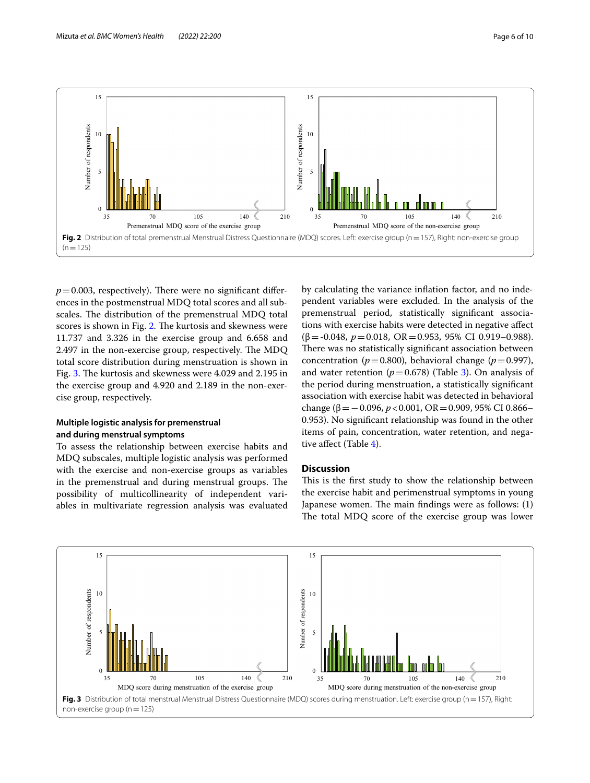

<span id="page-5-0"></span> $p=0.003$ , respectively). There were no significant differences in the postmenstrual MDQ total scores and all subscales. The distribution of the premenstrual MDQ total scores is shown in Fig. [2](#page-5-0). The kurtosis and skewness were 11.737 and 3.326 in the exercise group and 6.658 and 2.497 in the non-exercise group, respectively. The MDQ total score distribution during menstruation is shown in Fig. [3.](#page-5-1) The kurtosis and skewness were 4.029 and 2.195 in the exercise group and 4.920 and 2.189 in the non-exercise group, respectively.

# **Multiple logistic analysis for premenstrual and during menstrual symptoms**

To assess the relationship between exercise habits and MDQ subscales, multiple logistic analysis was performed with the exercise and non-exercise groups as variables in the premenstrual and during menstrual groups. The possibility of multicollinearity of independent variables in multivariate regression analysis was evaluated

by calculating the variance infation factor, and no independent variables were excluded. In the analysis of the premenstrual period, statistically signifcant associations with exercise habits were detected in negative afect (β=-0.048, *p*=0.018, OR=0.953, 95% CI 0.919–0.988). There was no statistically significant association between concentration ( $p=0.800$ ), behavioral change ( $p=0.997$ ), and water retention  $(p=0.678)$  (Table [3\)](#page-6-0). On analysis of the period during menstruation, a statistically signifcant association with exercise habit was detected in behavioral change ( $β = 0.096$ ,  $p < 0.001$ , OR = 0.909, 95% CI 0.866– 0.953). No signifcant relationship was found in the other items of pain, concentration, water retention, and negative afect (Table [4](#page-6-1)).

## **Discussion**

This is the first study to show the relationship between the exercise habit and perimenstrual symptoms in young Japanese women. The main findings were as follows:  $(1)$ The total MDQ score of the exercise group was lower

<span id="page-5-1"></span>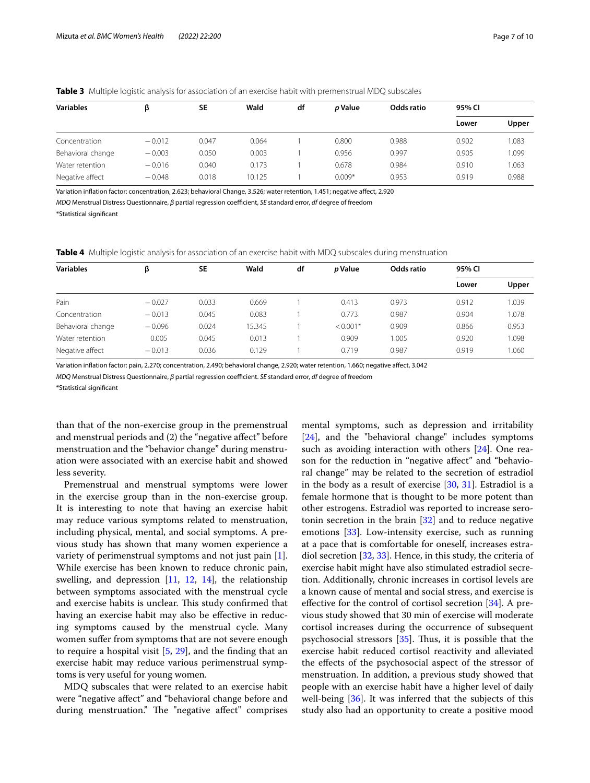| <b>Variables</b>  | ß        | <b>SE</b> | Wald   | df | <i>p</i> Value | Odds ratio | 95% CI |       |
|-------------------|----------|-----------|--------|----|----------------|------------|--------|-------|
|                   |          |           |        |    |                |            | Lower  | Upper |
| Concentration     | $-0.012$ | 0.047     | 0.064  |    | 0.800          | 0.988      | 0.902  | 1.083 |
| Behavioral change | $-0.003$ | 0.050     | 0.003  |    | 0.956          | 0.997      | 0.905  | 1.099 |
| Water retention   | $-0.016$ | 0.040     | 0.173  |    | 0.678          | 0.984      | 0.910  | 1.063 |
| Negative affect   | $-0.048$ | 0.018     | 10.125 |    | $0.009*$       | 0.953      | 0.919  | 0.988 |

<span id="page-6-0"></span>**Table 3** Multiple logistic analysis for association of an exercise habit with premenstrual MDQ subscales

Variation infation factor: concentration, 2.623; behavioral Change, 3.526; water retention, 1.451; negative afect, 2.920

*MDQ* Menstrual Distress Questionnaire, β partial regression coefficient, *SE* standard error, *df* degree of freedom

\*Statistical signifcant

<span id="page-6-1"></span>**Table 4** Multiple logistic analysis for association of an exercise habit with MDQ subscales during menstruation

| <b>Variables</b>  | β        | <b>SE</b> | Wald   | df | <i>p</i> Value | Odds ratio | 95% CI |       |
|-------------------|----------|-----------|--------|----|----------------|------------|--------|-------|
|                   |          |           |        |    |                |            | Lower  | Upper |
| Pain              | $-0.027$ | 0.033     | 0.669  |    | 0.413          | 0.973      | 0.912  | 1.039 |
| Concentration     | $-0.013$ | 0.045     | 0.083  |    | 0.773          | 0.987      | 0.904  | 1.078 |
| Behavioral change | $-0.096$ | 0.024     | 15.345 |    | $< 0.001*$     | 0.909      | 0.866  | 0.953 |
| Water retention   | 0.005    | 0.045     | 0.013  |    | 0.909          | 1.005      | 0.920  | 1.098 |
| Negative affect   | $-0.013$ | 0.036     | 0.129  |    | 0.719          | 0.987      | 0.919  | 1.060 |

Variation infation factor: pain, 2.270; concentration, 2.490; behavioral change, 2.920; water retention, 1.660; negative afect, 3.042

*MDQ* Menstrual Distress Questionnaire, *β* partial regression coefficient. *SE* standard error, *df* degree of freedom

\*Statistical signifcant

than that of the non-exercise group in the premenstrual and menstrual periods and (2) the "negative afect" before menstruation and the "behavior change" during menstruation were associated with an exercise habit and showed less severity.

Premenstrual and menstrual symptoms were lower in the exercise group than in the non-exercise group. It is interesting to note that having an exercise habit may reduce various symptoms related to menstruation, including physical, mental, and social symptoms. A previous study has shown that many women experience a variety of perimenstrual symptoms and not just pain [\[1](#page-8-0)]. While exercise has been known to reduce chronic pain, swelling, and depression [[11,](#page-8-9) [12,](#page-8-10) [14\]](#page-8-12), the relationship between symptoms associated with the menstrual cycle and exercise habits is unclear. This study confirmed that having an exercise habit may also be efective in reducing symptoms caused by the menstrual cycle. Many women sufer from symptoms that are not severe enough to require a hospital visit  $[5, 29]$  $[5, 29]$  $[5, 29]$  $[5, 29]$ , and the finding that an exercise habit may reduce various perimenstrual symptoms is very useful for young women.

MDQ subscales that were related to an exercise habit were "negative afect" and "behavioral change before and during menstruation." The "negative affect" comprises mental symptoms, such as depression and irritability [[24\]](#page-8-22), and the "behavioral change" includes symptoms such as avoiding interaction with others [[24\]](#page-8-22). One reason for the reduction in "negative afect" and "behavioral change" may be related to the secretion of estradiol in the body as a result of exercise  $[30, 31]$  $[30, 31]$  $[30, 31]$  $[30, 31]$ . Estradiol is a female hormone that is thought to be more potent than other estrogens. Estradiol was reported to increase serotonin secretion in the brain [[32\]](#page-9-1) and to reduce negative emotions [\[33](#page-9-2)]. Low-intensity exercise, such as running at a pace that is comfortable for oneself, increases estradiol secretion [[32,](#page-9-1) [33](#page-9-2)]. Hence, in this study, the criteria of exercise habit might have also stimulated estradiol secretion. Additionally, chronic increases in cortisol levels are a known cause of mental and social stress, and exercise is efective for the control of cortisol secretion [\[34](#page-9-3)]. A previous study showed that 30 min of exercise will moderate cortisol increases during the occurrence of subsequent psychosocial stressors  $[35]$  $[35]$ . Thus, it is possible that the exercise habit reduced cortisol reactivity and alleviated the efects of the psychosocial aspect of the stressor of menstruation. In addition, a previous study showed that people with an exercise habit have a higher level of daily well-being  $[36]$ . It was inferred that the subjects of this study also had an opportunity to create a positive mood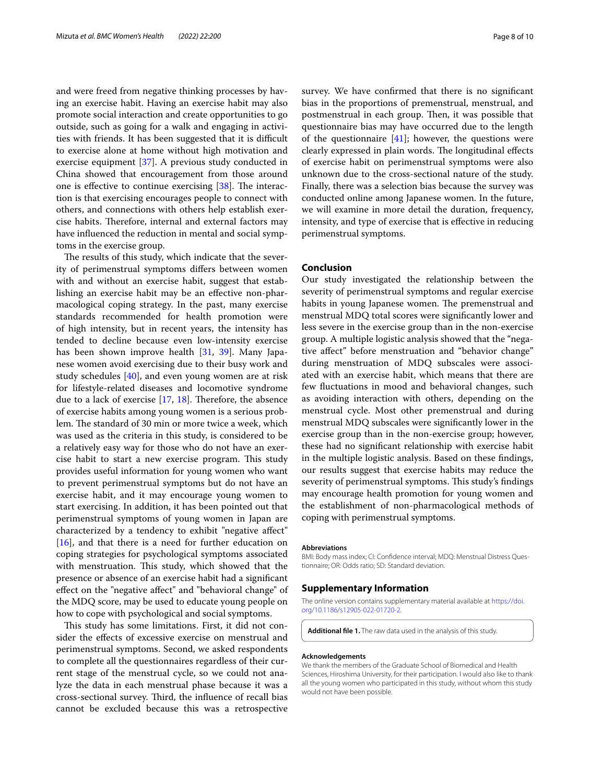and were freed from negative thinking processes by having an exercise habit. Having an exercise habit may also promote social interaction and create opportunities to go outside, such as going for a walk and engaging in activities with friends. It has been suggested that it is difficult to exercise alone at home without high motivation and exercise equipment [\[37](#page-9-6)]. A previous study conducted in China showed that encouragement from those around one is effective to continue exercising  $[38]$  $[38]$ . The interaction is that exercising encourages people to connect with others, and connections with others help establish exercise habits. Therefore, internal and external factors may have infuenced the reduction in mental and social symptoms in the exercise group.

The results of this study, which indicate that the severity of perimenstrual symptoms difers between women with and without an exercise habit, suggest that establishing an exercise habit may be an efective non-pharmacological coping strategy. In the past, many exercise standards recommended for health promotion were of high intensity, but in recent years, the intensity has tended to decline because even low-intensity exercise has been shown improve health [\[31](#page-9-0), [39](#page-9-8)]. Many Japanese women avoid exercising due to their busy work and study schedules [\[40\]](#page-9-9), and even young women are at risk for lifestyle-related diseases and locomotive syndrome due to a lack of exercise  $[17, 18]$  $[17, 18]$  $[17, 18]$  $[17, 18]$ . Therefore, the absence of exercise habits among young women is a serious problem. The standard of 30 min or more twice a week, which was used as the criteria in this study, is considered to be a relatively easy way for those who do not have an exercise habit to start a new exercise program. This study provides useful information for young women who want to prevent perimenstrual symptoms but do not have an exercise habit, and it may encourage young women to start exercising. In addition, it has been pointed out that perimenstrual symptoms of young women in Japan are characterized by a tendency to exhibit "negative afect" [[16\]](#page-8-14), and that there is a need for further education on coping strategies for psychological symptoms associated with menstruation. This study, which showed that the presence or absence of an exercise habit had a signifcant efect on the "negative afect" and "behavioral change" of the MDQ score, may be used to educate young people on how to cope with psychological and social symptoms.

This study has some limitations. First, it did not consider the efects of excessive exercise on menstrual and perimenstrual symptoms. Second, we asked respondents to complete all the questionnaires regardless of their current stage of the menstrual cycle, so we could not analyze the data in each menstrual phase because it was a cross-sectional survey. Third, the influence of recall bias cannot be excluded because this was a retrospective survey. We have confrmed that there is no signifcant bias in the proportions of premenstrual, menstrual, and postmenstrual in each group. Then, it was possible that questionnaire bias may have occurred due to the length of the questionnaire  $[41]$  $[41]$ ; however, the questions were clearly expressed in plain words. The longitudinal effects of exercise habit on perimenstrual symptoms were also unknown due to the cross-sectional nature of the study. Finally, there was a selection bias because the survey was conducted online among Japanese women. In the future, we will examine in more detail the duration, frequency, intensity, and type of exercise that is efective in reducing perimenstrual symptoms.

## **Conclusion**

Our study investigated the relationship between the severity of perimenstrual symptoms and regular exercise habits in young Japanese women. The premenstrual and menstrual MDQ total scores were signifcantly lower and less severe in the exercise group than in the non-exercise group. A multiple logistic analysis showed that the "negative afect" before menstruation and "behavior change" during menstruation of MDQ subscales were associated with an exercise habit, which means that there are few fuctuations in mood and behavioral changes, such as avoiding interaction with others, depending on the menstrual cycle. Most other premenstrual and during menstrual MDQ subscales were signifcantly lower in the exercise group than in the non-exercise group; however, these had no signifcant relationship with exercise habit in the multiple logistic analysis. Based on these fndings, our results suggest that exercise habits may reduce the severity of perimenstrual symptoms. This study's findings may encourage health promotion for young women and the establishment of non-pharmacological methods of coping with perimenstrual symptoms.

#### **Abbreviations**

BMI: Body mass index; CI: Confdence interval; MDQ: Menstrual Distress Questionnaire; OR: Odds ratio; SD: Standard deviation.

#### **Supplementary Information**

The online version contains supplementary material available at [https://doi.](https://doi.org/10.1186/s12905-022-01720-2) [org/10.1186/s12905-022-01720-2](https://doi.org/10.1186/s12905-022-01720-2).

**Additional fle 1.** The raw data used in the analysis of this study.

#### **Acknowledgements**

We thank the members of the Graduate School of Biomedical and Health Sciences, Hiroshima University, for their participation. I would also like to thank all the young women who participated in this study, without whom this study would not have been possible.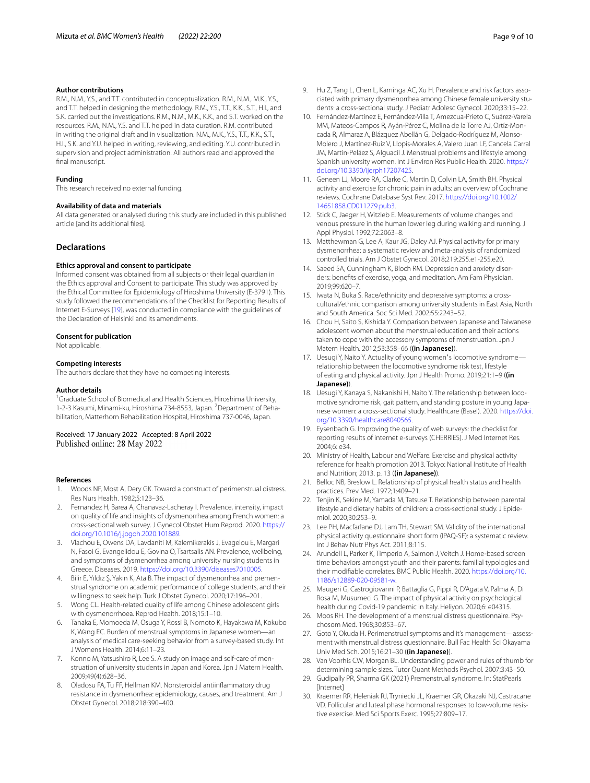### **Author contributions**

R.M., N.M., Y.S., and T.T. contributed in conceptualization. R.M., N.M., M.K., Y.S., and T.T. helped in designing the methodology. R.M., Y.S., T.T., K.K., S.T., H.I., and S.K. carried out the investigations. R.M., N.M., M.K., K.K., and S.T. worked on the resources. R.M., N.M., Y.S. and T.T. helped in data curation. R.M. contributed in writing the original draft and in visualization. N.M., M.K., Y.S., T.T., K.K., S.T., H.I., S.K. and Y.U. helped in writing, reviewing, and editing. Y.U. contributed in supervision and project administration. All authors read and approved the fnal manuscript.

#### **Funding**

This research received no external funding.

#### **Availability of data and materials**

All data generated or analysed during this study are included in this published article [and its additional fles].

#### **Declarations**

#### **Ethics approval and consent to participate**

Informed consent was obtained from all subjects or their legal guardian in the Ethics approval and Consent to participate. This study was approved by the Ethical Committee for Epidemiology of Hiroshima University (E-3791). This study followed the recommendations of the Checklist for Reporting Results of Internet E-Surveys [[19\]](#page-8-17), was conducted in compliance with the guidelines of the Declaration of Helsinki and its amendments.

#### **Consent for publication**

Not applicable.

#### **Competing interests**

The authors declare that they have no competing interests.

#### **Author details**

<sup>1</sup> Graduate School of Biomedical and Health Sciences, Hiroshima University, 1-2-3 Kasumi, Minami-ku, Hiroshima 734-8553, Japan. <sup>2</sup> Department of Rehabilitation, Matterhorn Rehabilitation Hospital, Hiroshima 737-0046, Japan.

#### Received: 17 January 2022 Accepted: 8 April 2022 Published online: 28 May 2022

#### **References**

- <span id="page-8-0"></span>Woods NF, Most A, Dery GK. Toward a construct of perimenstrual distress. Res Nurs Health. 1982;5:123–36.
- <span id="page-8-1"></span>2. Fernandez H, Barea A, Chanavaz-Lacheray I. Prevalence, intensity, impact on quality of life and insights of dysmenorrhea among French women: a cross-sectional web survey. J Gynecol Obstet Hum Reprod. 2020. [https://](https://doi.org/10.1016/j.jogoh.2020.101889) [doi.org/10.1016/j.jogoh.2020.101889](https://doi.org/10.1016/j.jogoh.2020.101889).
- <span id="page-8-2"></span>3. Vlachou E, Owens DA, Lavdaniti M, Kalemikerakis J, Evagelou E, Margari N, Fasoi G, Evangelidou E, Govina O, Tsartsalis AN. Prevalence, wellbeing, and symptoms of dysmenorrhea among university nursing students in Greece. Diseases. 2019. [https://doi.org/10.3390/diseases7010005.](https://doi.org/10.3390/diseases7010005)
- 4. Bilir E, Yıldız Ş, Yakın K, Ata B. The impact of dysmenorrhea and premenstrual syndrome on academic performance of college students, and their willingness to seek help. Turk J Obstet Gynecol. 2020;17:196–201.
- <span id="page-8-3"></span>5. Wong CL. Health-related quality of life among Chinese adolescent girls with dysmenorrhoea. Reprod Health. 2018;15:1–10.
- <span id="page-8-4"></span>6. Tanaka E, Momoeda M, Osuga Y, Rossi B, Nomoto K, Hayakawa M, Kokubo K, Wang EC. Burden of menstrual symptoms in Japanese women—an analysis of medical care-seeking behavior from a survey-based study. Int J Womens Health. 2014;6:11–23.
- <span id="page-8-5"></span>7. Konno M, Yatsushiro R, Lee S. A study on image and self-care of menstruation of university students in Japan and Korea. Jpn J Matern Health. 2009;49(4):628–36.
- <span id="page-8-6"></span>8. Oladosu FA, Tu FF, Hellman KM. Nonsteroidal antiinfammatory drug resistance in dysmenorrhea: epidemiology, causes, and treatment. Am J Obstet Gynecol. 2018;218:390–400.
- <span id="page-8-7"></span>9. Hu Z, Tang L, Chen L, Kaminga AC, Xu H. Prevalence and risk factors associated with primary dysmenorrhea among Chinese female university students: a cross-sectional study. J Pediatr Adolesc Gynecol. 2020;33:15–22.
- <span id="page-8-8"></span>10. Fernández-Martínez E, Fernández-Villa T, Amezcua-Prieto C, Suárez-Varela MM, Mateos-Campos R, Ayán-Pérez C, Molina de la Torre AJ, Ortíz-Moncada R, Almaraz A, Blázquez Abellán G, Delgado-Rodríguez M, Alonso-Molero J, Martínez-Ruíz V, Llopis-Morales A, Valero Juan LF, Cancela Carral JM, Martín-Peláez S, Alguacil J. Menstrual problems and lifestyle among Spanish university women. Int J Environ Res Public Health. 2020. [https://](https://doi.org/10.3390/ijerph17207425) [doi.org/10.3390/ijerph17207425.](https://doi.org/10.3390/ijerph17207425)
- <span id="page-8-9"></span>11. Geneen LJ, Moore RA, Clarke C, Martin D, Colvin LA, Smith BH. Physical activity and exercise for chronic pain in adults: an overview of Cochrane reviews. Cochrane Database Syst Rev. 2017. [https://doi.org/10.1002/](https://doi.org/10.1002/14651858.CD011279.pub3) [14651858.CD011279.pub3.](https://doi.org/10.1002/14651858.CD011279.pub3)
- <span id="page-8-10"></span>12. Stick C, Jaeger H, Witzleb E. Measurements of volume changes and venous pressure in the human lower leg during walking and running. J Appl Physiol. 1992;72:2063–8.
- <span id="page-8-11"></span>13. Matthewman G, Lee A, Kaur JG, Daley AJ. Physical activity for primary dysmenorrhea: a systematic review and meta-analysis of randomized controlled trials. Am J Obstet Gynecol. 2018;219:255.e1-255.e20.
- <span id="page-8-12"></span>14. Saeed SA, Cunningham K, Bloch RM. Depression and anxiety disorders: benefts of exercise, yoga, and meditation. Am Fam Physician. 2019;99:620–7.
- <span id="page-8-13"></span>15. Iwata N, Buka S. Race/ethnicity and depressive symptoms: a crosscultural/ethnic comparison among university students in East Asia, North and South America. Soc Sci Med. 2002;55:2243–52.
- <span id="page-8-14"></span>16. Chou H, Saito S, Kishida Y. Comparison between Japanese and Taiwanese adolescent women about the menstrual education and their actions taken to cope with the accessory symptoms of menstruation. Jpn J Matern Health. 2012;53:358–66 (**(in Japanese)**).
- <span id="page-8-15"></span>17. Uesugi Y, Naito Y. Actuality of young women's locomotive syndrome relationship between the locomotive syndrome risk test, lifestyle of eating and physical activity. Jpn J Health Promo. 2019;21:1–9 (**(in Japanese)**).
- <span id="page-8-16"></span>18. Uesugi Y, Kanaya S, Nakanishi H, Naito Y. The relationship between locomotive syndrome risk, gait pattern, and standing posture in young Japanese women: a cross-sectional study. Healthcare (Basel). 2020. [https://doi.](https://doi.org/10.3390/healthcare8040565) [org/10.3390/healthcare8040565.](https://doi.org/10.3390/healthcare8040565)
- <span id="page-8-17"></span>19. Eysenbach G. Improving the quality of web surveys: the checklist for reporting results of internet e-surveys (CHERRIES). J Med Internet Res. 2004;6: e34.
- <span id="page-8-18"></span>20. Ministry of Health, Labour and Welfare. Exercise and physical activity reference for health promotion 2013. Tokyo: National Institute of Health and Nutrition; 2013. p. 13 (**(in Japanese)**).
- <span id="page-8-19"></span>21. Belloc NB, Breslow L. Relationship of physical health status and health practices. Prev Med. 1972;1:409–21.
- <span id="page-8-20"></span>22. Tenjin K, Sekine M, Yamada M, Tatsuse T. Relationship between parental lifestyle and dietary habits of children: a cross-sectional study. J Epidemiol. 2020;30:253–9.
- <span id="page-8-21"></span>23. Lee PH, Macfarlane DJ, Lam TH, Stewart SM. Validity of the international physical activity questionnaire short form (IPAQ-SF): a systematic review. Int J Behav Nutr Phys Act. 2011;8:115.
- <span id="page-8-22"></span>24. Arundell L, Parker K, Timperio A, Salmon J, Veitch J. Home-based screen time behaviors amongst youth and their parents: familial typologies and their modifable correlates. BMC Public Health. 2020. [https://doi.org/10.](https://doi.org/10.1186/s12889-020-09581-w) [1186/s12889-020-09581-w](https://doi.org/10.1186/s12889-020-09581-w).
- <span id="page-8-23"></span>25. Maugeri G, Castrogiovanni P, Battaglia G, Pippi R, D'Agata V, Palma A, Di Rosa M, Musumeci G. The impact of physical activity on psychological health during Covid-19 pandemic in Italy. Heliyon. 2020;6: e04315.
- <span id="page-8-24"></span>26. Moos RH. The development of a menstrual distress questionnaire. Psychosom Med. 1968;30:853–67.
- <span id="page-8-25"></span>27. Goto Y, Okuda H. Perimenstrual symptoms and it's management—assessment with menstrual distress questionnaire. Bull Fac Health Sci Okayama Univ Med Sch. 2015;16:21–30 (**(in Japanese)**).
- <span id="page-8-26"></span>28. Van Voorhis CW, Morgan BL. Understanding power and rules of thumb for determining sample sizes. Tutor Quant Methods Psychol. 2007;3:43–50.
- <span id="page-8-27"></span>29. Gudipally PR, Sharma GK (2021) Premenstrual syndrome. In: StatPearls [Internet]
- <span id="page-8-28"></span>30. Kraemer RR, Heleniak RJ, Tryniecki JL, Kraemer GR, Okazaki NJ, Castracane VD. Follicular and luteal phase hormonal responses to low-volume resistive exercise. Med Sci Sports Exerc. 1995;27:809–17.